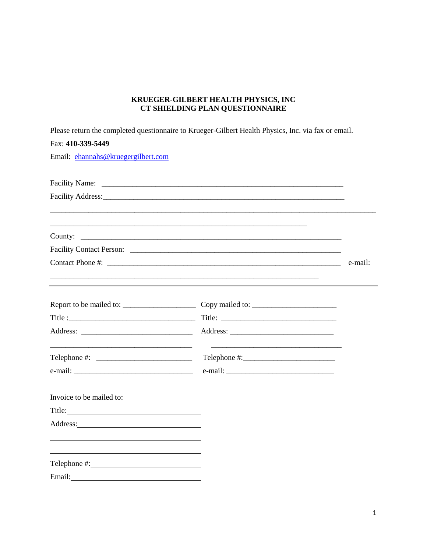# KRUEGER-GILBERT HEALTH PHYSICS, INC CT SHIELDING PLAN QUESTIONNAIRE

Please return the completed questionnaire to Krueger-Gilbert Health Physics. Inc. via fax or email

| Please return the completed questionnaire to Krueger-Gilbert Health Physics, Inc. Via fax or email. |                                                                                                                                                                                                                                                                                                                                                                                                                                      |         |
|-----------------------------------------------------------------------------------------------------|--------------------------------------------------------------------------------------------------------------------------------------------------------------------------------------------------------------------------------------------------------------------------------------------------------------------------------------------------------------------------------------------------------------------------------------|---------|
| Fax: 410-339-5449                                                                                   |                                                                                                                                                                                                                                                                                                                                                                                                                                      |         |
| Email: ehannahs@kruegergilbert.com                                                                  |                                                                                                                                                                                                                                                                                                                                                                                                                                      |         |
|                                                                                                     |                                                                                                                                                                                                                                                                                                                                                                                                                                      |         |
|                                                                                                     |                                                                                                                                                                                                                                                                                                                                                                                                                                      |         |
|                                                                                                     |                                                                                                                                                                                                                                                                                                                                                                                                                                      |         |
| ,我们的人们就是一个人们的人们,我们的人们就是一个人们的人们,我们的人们就是一个人们的人们,我们的人们就是一个人们的人们,我们的人们就是一个人们的人们的人们,我们                   |                                                                                                                                                                                                                                                                                                                                                                                                                                      |         |
|                                                                                                     |                                                                                                                                                                                                                                                                                                                                                                                                                                      |         |
|                                                                                                     |                                                                                                                                                                                                                                                                                                                                                                                                                                      |         |
|                                                                                                     |                                                                                                                                                                                                                                                                                                                                                                                                                                      | e-mail: |
|                                                                                                     |                                                                                                                                                                                                                                                                                                                                                                                                                                      |         |
|                                                                                                     |                                                                                                                                                                                                                                                                                                                                                                                                                                      |         |
|                                                                                                     |                                                                                                                                                                                                                                                                                                                                                                                                                                      |         |
|                                                                                                     |                                                                                                                                                                                                                                                                                                                                                                                                                                      |         |
| Telephone #: $\qquad \qquad$                                                                        | $\text{Telephone } \text{\#:}\n \begin{picture}(25,20) \label{picc} \put(0,0){\dashbox{0.5}(5,0){ }} \thicklines \put(0,0){\dashbox{0.5}(5,0){ }} \thicklines \put(0,0){\dashbox{0.5}(5,0){ }} \thicklines \put(0,0){\dashbox{0.5}(5,0){ }} \thicklines \put(0,0){\dashbox{0.5}(5,0){ }} \thicklines \put(0,0){\dashbox{0.5}(5,0){ }} \thicklines \put(0,0){\dashbox{0.5}(5,0){ }} \thicklines \put(0,0){\dashbox{0.5}(5,0){ }} \th$ |         |
|                                                                                                     |                                                                                                                                                                                                                                                                                                                                                                                                                                      |         |
| Invoice to be mailed to:                                                                            |                                                                                                                                                                                                                                                                                                                                                                                                                                      |         |
|                                                                                                     |                                                                                                                                                                                                                                                                                                                                                                                                                                      |         |
|                                                                                                     |                                                                                                                                                                                                                                                                                                                                                                                                                                      |         |
|                                                                                                     |                                                                                                                                                                                                                                                                                                                                                                                                                                      |         |
|                                                                                                     |                                                                                                                                                                                                                                                                                                                                                                                                                                      |         |
| Email:                                                                                              |                                                                                                                                                                                                                                                                                                                                                                                                                                      |         |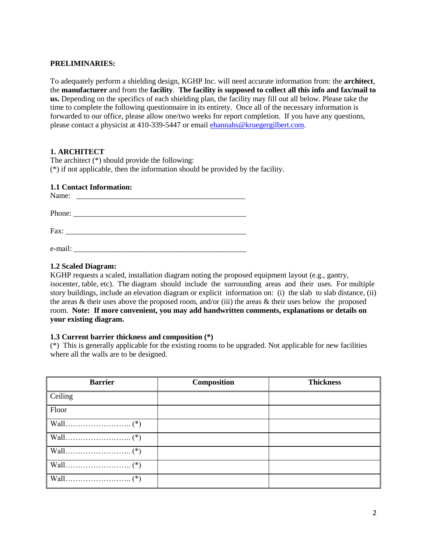### **PRELIMINARIES:**

To adequately perform a shielding design, KGHP Inc. will need accurate information from: the **architect**, the **manufacturer** and from the **facility**. **The facility is supposed to collect all this info and fax/mail to us.** Depending on the specifics of each shielding plan, the facility may fill out all below. Please take the time to complete the following questionnaire in its entirety. Once all of the necessary information is forwarded to our office, please allow one/two weeks for report completion. If you have any questions, please contact a physicist at 410-339-5447 or email [ehannahs@kruegergilbert.com.](mailto:ehannahs@kruegergilbert.com)

### **1. ARCHITECT**

The architect (\*) should provide the following: (\*) if not applicable, then the information should be provided by the facility.

### **1.1 Contact Information:**

|         | Name:                                                                                                                                                                                                                                                                                                                                                                                                        |  |  |
|---------|--------------------------------------------------------------------------------------------------------------------------------------------------------------------------------------------------------------------------------------------------------------------------------------------------------------------------------------------------------------------------------------------------------------|--|--|
|         | Phone: $\frac{1}{\sqrt{1-\frac{1}{2}}\sqrt{1-\frac{1}{2}}\sqrt{1-\frac{1}{2}}\sqrt{1-\frac{1}{2}}\sqrt{1-\frac{1}{2}}\sqrt{1-\frac{1}{2}}\sqrt{1-\frac{1}{2}}\sqrt{1-\frac{1}{2}}\sqrt{1-\frac{1}{2}}\sqrt{1-\frac{1}{2}}\sqrt{1-\frac{1}{2}}\sqrt{1-\frac{1}{2}}\sqrt{1-\frac{1}{2}}\sqrt{1-\frac{1}{2}}\sqrt{1-\frac{1}{2}}\sqrt{1-\frac{1}{2}}\sqrt{1-\frac{1}{2}}\sqrt{1-\frac{1}{2}}\sqrt{1-\frac{1}{2$ |  |  |
|         | Fax: $\frac{1}{2}$ $\frac{1}{2}$ $\frac{1}{2}$ $\frac{1}{2}$ $\frac{1}{2}$ $\frac{1}{2}$ $\frac{1}{2}$ $\frac{1}{2}$ $\frac{1}{2}$ $\frac{1}{2}$ $\frac{1}{2}$ $\frac{1}{2}$ $\frac{1}{2}$ $\frac{1}{2}$ $\frac{1}{2}$ $\frac{1}{2}$ $\frac{1}{2}$ $\frac{1}{2}$ $\frac{1}{2}$ $\frac{1}{2}$ $\frac{1}{2}$ $\frac{1}{$                                                                                       |  |  |
| e-mail: | <u> 1980 - Jan Barbarat, martin da shekara 1980 - An tsa a tsa a tsa a tsa a tsa a tsa a tsa a tsa a tsa a tsa a</u>                                                                                                                                                                                                                                                                                         |  |  |

# **1.2 Scaled Diagram:**

KGHP requests a scaled, installation diagram noting the proposed equipment layout (e.g., gantry, isocenter, table, etc). The diagram should include the surrounding areas and their uses. For multiple story buildings, include an elevation diagram or explicit information on: (i) the slab to slab distance, (ii) the areas  $\&$  their uses above the proposed room, and/or (iii) the areas  $\&$  their uses below the proposed room. **Note: If more convenient, you may add handwritten comments, explanations or details on your existing diagram.** 

#### **1.3 Current barrier thickness and composition (\*)**

(\*) This is generally applicable for the existing rooms to be upgraded. Not applicable for new facilities where all the walls are to be designed.

| <b>Barrier</b> | <b>Composition</b> | <b>Thickness</b> |
|----------------|--------------------|------------------|
| Ceiling        |                    |                  |
| Floor          |                    |                  |
|                |                    |                  |
|                |                    |                  |
|                |                    |                  |
|                |                    |                  |
|                |                    |                  |